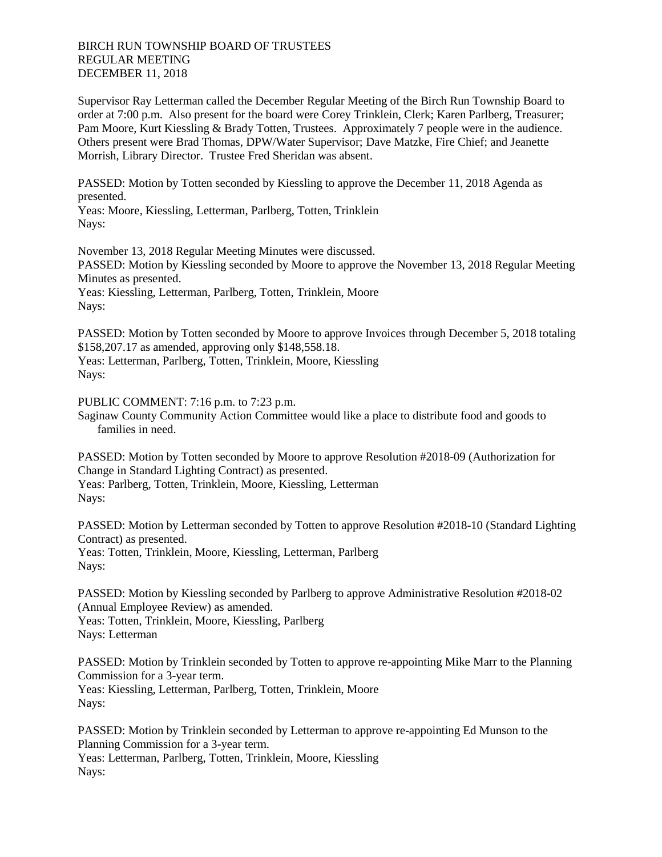## BIRCH RUN TOWNSHIP BOARD OF TRUSTEES REGULAR MEETING DECEMBER 11, 2018

Supervisor Ray Letterman called the December Regular Meeting of the Birch Run Township Board to order at 7:00 p.m. Also present for the board were Corey Trinklein, Clerk; Karen Parlberg, Treasurer; Pam Moore, Kurt Kiessling & Brady Totten, Trustees. Approximately 7 people were in the audience. Others present were Brad Thomas, DPW/Water Supervisor; Dave Matzke, Fire Chief; and Jeanette Morrish, Library Director. Trustee Fred Sheridan was absent.

PASSED: Motion by Totten seconded by Kiessling to approve the December 11, 2018 Agenda as presented.

Yeas: Moore, Kiessling, Letterman, Parlberg, Totten, Trinklein Nays:

November 13, 2018 Regular Meeting Minutes were discussed. PASSED: Motion by Kiessling seconded by Moore to approve the November 13, 2018 Regular Meeting Minutes as presented. Yeas: Kiessling, Letterman, Parlberg, Totten, Trinklein, Moore Nays:

PASSED: Motion by Totten seconded by Moore to approve Invoices through December 5, 2018 totaling \$158,207.17 as amended, approving only \$148,558.18.

Yeas: Letterman, Parlberg, Totten, Trinklein, Moore, Kiessling Nays:

PUBLIC COMMENT: 7:16 p.m. to 7:23 p.m.

Saginaw County Community Action Committee would like a place to distribute food and goods to families in need.

PASSED: Motion by Totten seconded by Moore to approve Resolution #2018-09 (Authorization for Change in Standard Lighting Contract) as presented. Yeas: Parlberg, Totten, Trinklein, Moore, Kiessling, Letterman Nays:

PASSED: Motion by Letterman seconded by Totten to approve Resolution #2018-10 (Standard Lighting Contract) as presented.

Yeas: Totten, Trinklein, Moore, Kiessling, Letterman, Parlberg Nays:

PASSED: Motion by Kiessling seconded by Parlberg to approve Administrative Resolution #2018-02 (Annual Employee Review) as amended.

Yeas: Totten, Trinklein, Moore, Kiessling, Parlberg Nays: Letterman

PASSED: Motion by Trinklein seconded by Totten to approve re-appointing Mike Marr to the Planning Commission for a 3-year term. Yeas: Kiessling, Letterman, Parlberg, Totten, Trinklein, Moore Nays:

PASSED: Motion by Trinklein seconded by Letterman to approve re-appointing Ed Munson to the Planning Commission for a 3-year term. Yeas: Letterman, Parlberg, Totten, Trinklein, Moore, Kiessling Nays: